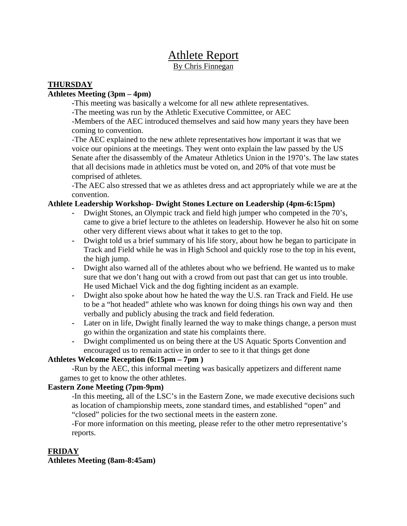# Athlete Report By Chris Finnegan

## **THURSDAY**

#### **Athletes Meeting (3pm – 4pm)**

 **-**This meeting was basically a welcome for all new athlete representatives.

-The meeting was run by the Athletic Executive Committee, or AEC

-Members of the AEC introduced themselves and said how many years they have been coming to convention.

-The AEC explained to the new athlete representatives how important it was that we voice our opinions at the meetings. They went onto explain the law passed by the US Senate after the disassembly of the Amateur Athletics Union in the 1970's. The law states that all decisions made in athletics must be voted on, and 20% of that vote must be comprised of athletes.

-The AEC also stressed that we as athletes dress and act appropriately while we are at the convention.

### **Athlete Leadership Workshop- Dwight Stones Lecture on Leadership (4pm-6:15pm)**

- **-** Dwight Stones, an Olympic track and field high jumper who competed in the 70's, came to give a brief lecture to the athletes on leadership. However he also hit on some other very different views about what it takes to get to the top.
- **-** Dwight told us a brief summary of his life story, about how he began to participate in Track and Field while he was in High School and quickly rose to the top in his event, the high jump.
- **-** Dwight also warned all of the athletes about who we befriend. He wanted us to make sure that we don't hang out with a crowd from out past that can get us into trouble. He used Michael Vick and the dog fighting incident as an example.
- **-** Dwight also spoke about how he hated the way the U.S. ran Track and Field. He use to be a "hot headed" athlete who was known for doing things his own way and then verbally and publicly abusing the track and field federation.
- **-** Later on in life, Dwight finally learned the way to make things change, a person must go within the organization and state his complaints there.
- **-** Dwight complimented us on being there at the US Aquatic Sports Convention and encouraged us to remain active in order to see to it that things get done

### **Athletes Welcome Reception (6:15pm – 7pm )**

-Run by the AEC, this informal meeting was basically appetizers and different name games to get to know the other athletes.

### **Eastern Zone Meeting (7pm-9pm)**

-In this meeting, all of the LSC's in the Eastern Zone, we made executive decisions such as location of championship meets, zone standard times, and established "open" and "closed" policies for the two sectional meets in the eastern zone.

-For more information on this meeting, please refer to the other metro representative's reports.

### **FRIDAY**

**Athletes Meeting (8am-8:45am)**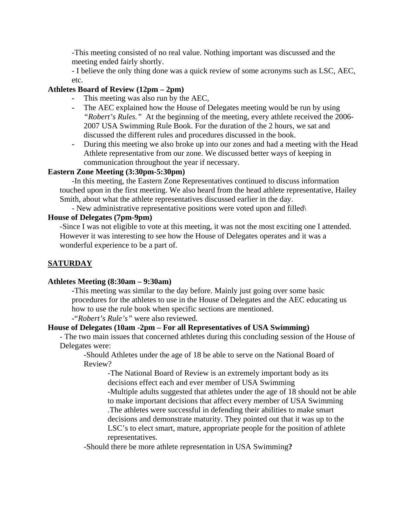-This meeting consisted of no real value. Nothing important was discussed and the meeting ended fairly shortly.

- I believe the only thing done was a quick review of some acronyms such as LSC, AEC, etc.

## **Athletes Board of Review (12pm – 2pm)**

- **-** This meeting was also run by the AEC,
- **-** The AEC explained how the House of Delegates meeting would be run by using *"Robert's Rules."* At the beginning of the meeting, every athlete received the 2006- 2007 USA Swimming Rule Book. For the duration of the 2 hours, we sat and discussed the different rules and procedures discussed in the book.
- **-** During this meeting we also broke up into our zones and had a meeting with the Head Athlete representative from our zone. We discussed better ways of keeping in communication throughout the year if necessary.

### **Eastern Zone Meeting (3:30pm-5:30pm)**

-In this meeting, the Eastern Zone Representatives continued to discuss information touched upon in the first meeting. We also heard from the head athlete representative, Hailey Smith, about what the athlete representatives discussed earlier in the day.

- New administrative representative positions were voted upon and filled\

#### **House of Delegates (7pm-9pm)**

-Since I was not eligible to vote at this meeting, it was not the most exciting one I attended. However it was interesting to see how the House of Delegates operates and it was a wonderful experience to be a part of.

# **SATURDAY**

### **Athletes Meeting (8:30am – 9:30am)**

**-**This meeting was similar to the day before. Mainly just going over some basic procedures for the athletes to use in the House of Delegates and the AEC educating us how to use the rule book when specific sections are mentioned.

**-**"*Robert's Rule's"* were also reviewed.

### **House of Delegates (10am -2pm – For all Representatives of USA Swimming)**

- The two main issues that concerned athletes during this concluding session of the House of Delegates were:

-Should Athletes under the age of 18 be able to serve on the National Board of Review?

-The National Board of Review is an extremely important body as its decisions effect each and ever member of USA Swimming

-Multiple adults suggested that athletes under the age of 18 should not be able to make important decisions that affect every member of USA Swimming .The athletes were successful in defending their abilities to make smart decisions and demonstrate maturity. They pointed out that it was up to the LSC's to elect smart, mature, appropriate people for the position of athlete representatives.

-Should there be more athlete representation in USA Swimming**?**